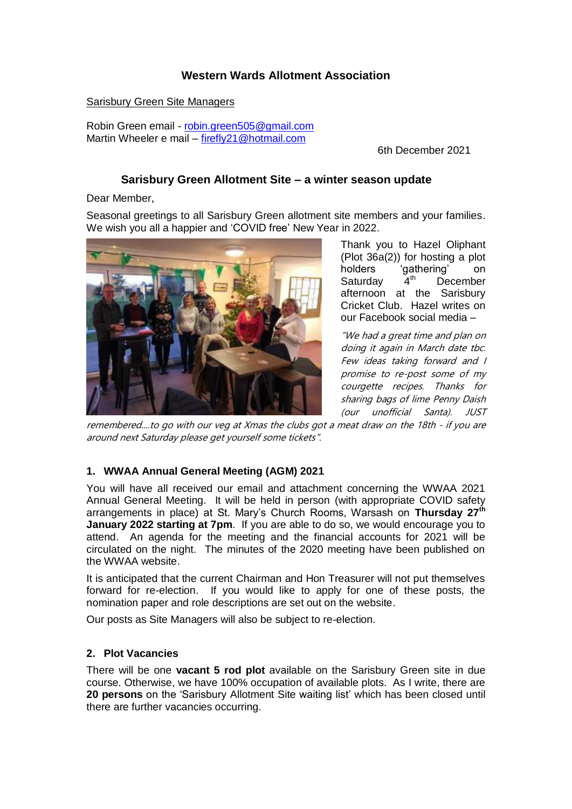# **Western Wards Allotment Association**

Sarisbury Green Site Managers

Robin Green email - [robin.green505@gmail.com](mailto:robin.green505@gmail.com) Martin Wheeler e mail – firefly21@hotmail.com

6th December 2021

## **Sarisbury Green Allotment Site – a winter season update**

Dear Member,

Seasonal greetings to all Sarisbury Green allotment site members and your families. We wish you all a happier and 'COVID free' New Year in 2022.



Thank you to Hazel Oliphant (Plot 36a(2)) for hosting a plot holders 'gathering' on<br>Saturday 4<sup>th</sup> December Saturday 4<sup>th</sup> December afternoon at the Sarisbury Cricket Club. Hazel writes on our Facebook social media –

"We had a great time and plan on doing it again in March date tbc. Few ideas taking forward and I promise to re-post some of my courgette recipes. Thanks for sharing bags of lime Penny Daish (our unofficial Santa). JUST

remembered....to go with our veg at Xmas the clubs got a meat draw on the 18th - if you are around next Saturday please get yourself some tickets".

# **1. WWAA Annual General Meeting (AGM) 2021**

You will have all received our email and attachment concerning the WWAA 2021 Annual General Meeting. It will be held in person (with appropriate COVID safety arrangements in place) at St. Mary's Church Rooms, Warsash on **Thursday 27th January 2022 starting at 7pm**. If you are able to do so, we would encourage you to attend. An agenda for the meeting and the financial accounts for 2021 will be circulated on the night. The minutes of the 2020 meeting have been published on the WWAA website.

It is anticipated that the current Chairman and Hon Treasurer will not put themselves forward for re-election. If you would like to apply for one of these posts, the nomination paper and role descriptions are set out on the website.

Our posts as Site Managers will also be subject to re-election.

### **2. Plot Vacancies**

There will be one **vacant 5 rod plot** available on the Sarisbury Green site in due course. Otherwise, we have 100% occupation of available plots. As I write, there are **20 persons** on the 'Sarisbury Allotment Site waiting list' which has been closed until there are further vacancies occurring.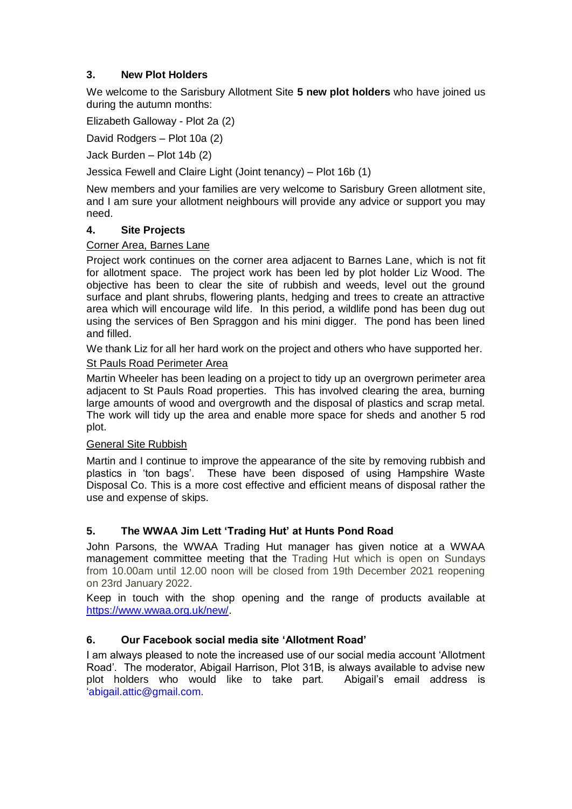# **3. New Plot Holders**

We welcome to the Sarisbury Allotment Site **5 new plot holders** who have joined us during the autumn months:

Elizabeth Galloway - Plot 2a (2)

David Rodgers – Plot 10a (2)

Jack Burden – Plot 14b (2)

Jessica Fewell and Claire Light (Joint tenancy) – Plot 16b (1)

New members and your families are very welcome to Sarisbury Green allotment site, and I am sure your allotment neighbours will provide any advice or support you may need.

### **4. Site Projects**

### Corner Area, Barnes Lane

Project work continues on the corner area adjacent to Barnes Lane, which is not fit for allotment space. The project work has been led by plot holder Liz Wood. The objective has been to clear the site of rubbish and weeds, level out the ground surface and plant shrubs, flowering plants, hedging and trees to create an attractive area which will encourage wild life. In this period, a wildlife pond has been dug out using the services of Ben Spraggon and his mini digger. The pond has been lined and filled.

We thank Liz for all her hard work on the project and others who have supported her.

### St Pauls Road Perimeter Area

Martin Wheeler has been leading on a project to tidy up an overgrown perimeter area adjacent to St Pauls Road properties. This has involved clearing the area, burning large amounts of wood and overgrowth and the disposal of plastics and scrap metal. The work will tidy up the area and enable more space for sheds and another 5 rod plot.

### General Site Rubbish

Martin and I continue to improve the appearance of the site by removing rubbish and plastics in 'ton bags'. These have been disposed of using Hampshire Waste Disposal Co. This is a more cost effective and efficient means of disposal rather the use and expense of skips.

# **5. The WWAA Jim Lett 'Trading Hut' at Hunts Pond Road**

John Parsons, the WWAA Trading Hut manager has given notice at a WWAA management committee meeting that the Trading Hut which is open on Sundays from 10.00am until 12.00 noon will be closed from 19th December 2021 reopening on 23rd January 2022.

Keep in touch with the shop opening and the range of products available at [https://www.wwaa.org.uk/new/.](https://www.wwaa.org.uk/new/)

# **6. Our Facebook social media site 'Allotment Road'**

I am always pleased to note the increased use of our social media account 'Allotment Road'. The moderator, Abigail Harrison, Plot 31B, is always available to advise new plot holders who would like to take part. Abigail's email address is 'abigail.attic@gmail.com.